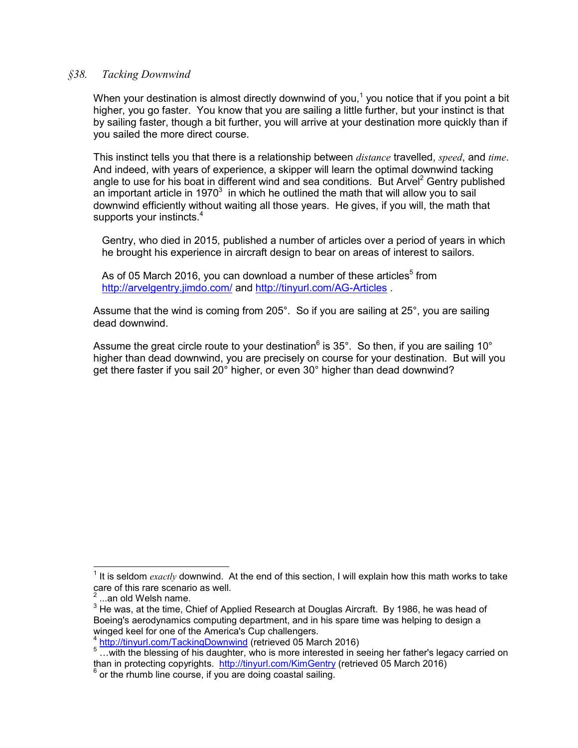## *§38. Tacking Downwind*

When your destination is almost directly downwind of you,<sup>1</sup> you notice that if you point a bit higher, you go faster. You know that you are sailing a little further, but your instinct is that by sailing faster, though a bit further, you will arrive at your destination more quickly than if you sailed the more direct course.

This instinct tells you that there is a relationship between *distance* travelled, *speed*, and *time*. And indeed, with years of experience, a skipper will learn the optimal downwind tacking angle to use for his boat in different wind and sea conditions. But Arvel<sup>2</sup> Gentry published an important article in 1970 $3$  in which he outlined the math that will allow you to sail downwind efficiently without waiting all those years. He gives, if you will, the math that supports your instincts.<sup>4</sup>

Gentry, who died in 2015, published a number of articles over a period of years in which he brought his experience in aircraft design to bear on areas of interest to sailors.

As of 05 March 2016, you can download a number of these articles $5$  from http://arvelgentry.jimdo.com/ and http://tinyurl.com/AG-Articles .

Assume that the wind is coming from 205°. So if you are sailing at 25°, you are sailing dead downwind.

Assume the great circle route to your destination<sup>6</sup> is  $35^\circ$ . So then, if you are sailing 10 $^\circ$ higher than dead downwind, you are precisely on course for your destination. But will you get there faster if you sail 20° higher, or even 30° higher than dead downwind?

 <sup>1</sup> It is seldom *exactly* downwind. At the end of this section, I will explain how this math works to take care of this rare scenario as well.

<sup>...</sup>an old Welsh name.

<sup>&</sup>lt;sup>3</sup> He was, at the time, Chief of Applied Research at Douglas Aircraft. By 1986, he was head of Boeing's aerodynamics computing department, and in his spare time was helping to design a winged keel for one of the America's Cup challengers.<br>
<sup>4</sup> http://tinyurl.com/TackingDownwind (retrieved 05 March 2016)

<sup>&</sup>lt;sup>5</sup> http://tinyurl.com/TackingDownwind (retrieved by march 2016) 5 …with the blessing of his daughter, who is more interested in seeing her father's legacy carried on than in protecting copyrights. http://tinyurl.com/KimGentry (retrieved 05 March 2016) <sup>6</sup> or the rhumb line course, if you are doing coastal sailing.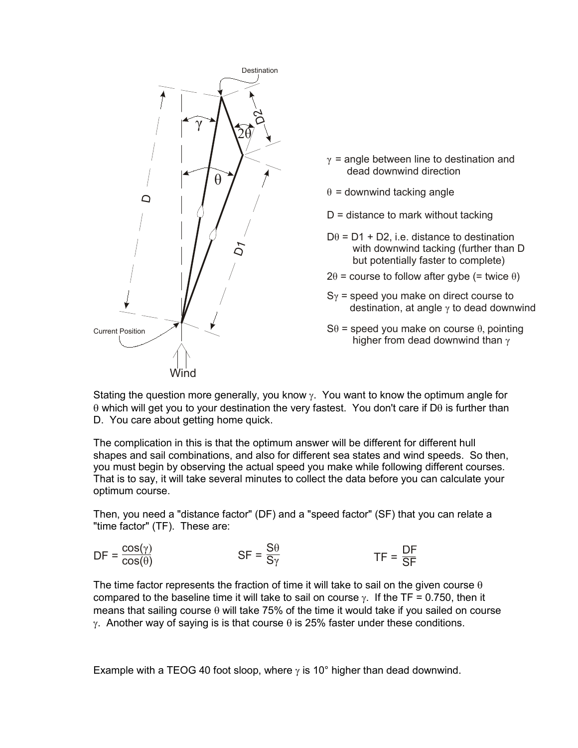

- $\gamma$  = angle between line to destination and dead downwind direction
- $\theta$  = downwind tacking angle
- $D =$  distance to mark without tacking
- $D\theta$  = D1 + D2, i.e. distance to destination with downwind tacking (further than D but potentially faster to complete)
- $2\theta$  = course to follow after gybe (= twice  $\theta$ )
- $S_{\gamma}$  = speed you make on direct course to destination, at angle  $\gamma$  to dead downwind
- $S\theta$  = speed you make on course  $\theta$ , pointing higher from dead downwind than  $\gamma$

Stating the question more generally, you know  $\gamma$ . You want to know the optimum angle for  $\theta$  which will get you to your destination the very fastest. You don't care if D $\theta$  is further than D. You care about getting home quick.

The complication in this is that the optimum answer will be different for different hull shapes and sail combinations, and also for different sea states and wind speeds. So then, you must begin by observing the actual speed you make while following different courses. That is to say, it will take several minutes to collect the data before you can calculate your optimum course.

Then, you need a "distance factor" (DF) and a "speed factor" (SF) that you can relate a "time factor" (TF). These are:

$$
DF = \frac{\cos(\gamma)}{\cos(\theta)} \qquad \qquad SF = \frac{S\theta}{S\gamma} \qquad \qquad TF = \frac{DF}{SF}
$$

The time factor represents the fraction of time it will take to sail on the given course  $\theta$ compared to the baseline time it will take to sail on course  $\gamma$ . If the TF = 0.750, then it means that sailing course  $\theta$  will take 75% of the time it would take if you sailed on course  $\gamma$ . Another way of saying is is that course  $\theta$  is 25% faster under these conditions.

Example with a TEOG 40 foot sloop, where  $\gamma$  is 10° higher than dead downwind.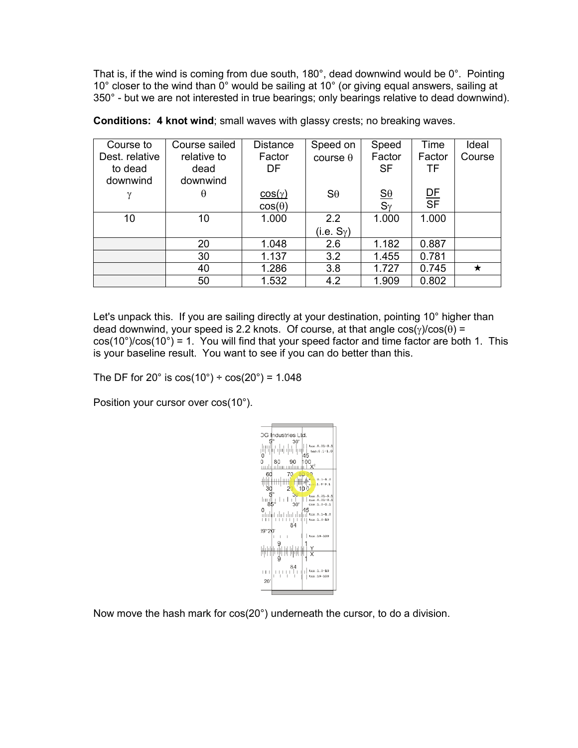That is, if the wind is coming from due south, 180°, dead downwind would be 0°. Pointing 10° closer to the wind than 0° would be sailing at 10° (or giving equal answers, sailing at 350° - but we are not interested in true bearings; only bearings relative to dead downwind).

| Course to      | Course sailed | <b>Distance</b> | Speed on               | Speed                                      | Time                        | Ideal  |
|----------------|---------------|-----------------|------------------------|--------------------------------------------|-----------------------------|--------|
| Dest. relative | relative to   | Factor          | course $\theta$        | Factor                                     | Factor                      | Course |
| to dead        | dead          | DF              |                        | <b>SF</b>                                  | <b>TF</b>                   |        |
| downwind       | downwind      |                 |                        |                                            |                             |        |
| γ              | θ             | cos(y)          | $S_{\theta}$           | $\underline{\mathsf{S}}\underline{\theta}$ | $rac{\text{DF}}{\text{SF}}$ |        |
|                |               | $cos(\theta)$   |                        | $S_{\gamma}$                               |                             |        |
| 10             | 10            | 1.000           | 2.2                    | 1.000                                      | 1.000                       |        |
|                |               |                 | (i.e. S <sub>Y</sub> ) |                                            |                             |        |
|                | 20            | 1.048           | 2.6                    | 1.182                                      | 0.887                       |        |
|                | 30            | 1.137           | 3.2                    | 1.455                                      | 0.781                       |        |
|                | 40            | 1.286           | 3.8                    | 1.727                                      | 0.745                       | ★      |
|                | 50            | 1.532           | 4.2                    | 1.909                                      | 0.802                       |        |

Conditions: 4 knot wind; small waves with glassy crests; no breaking waves.

Let's unpack this. If you are sailing directly at your destination, pointing 10° higher than dead downwind, your speed is 2.2 knots. Of course, at that angle  $cos(y)/cos(\theta) =$  $cos(10^\circ)/cos(10^\circ) = 1$ . You will find that your speed factor and time factor are both 1. This is your baseline result. You want to see if you can do better than this.

The DF for 20 $\degree$  is cos(10 $\degree$ ) ÷ cos(20 $\degree$ ) = 1.048

Position your cursor over cos(10°).



Now move the hash mark for cos(20°) underneath the cursor, to do a division.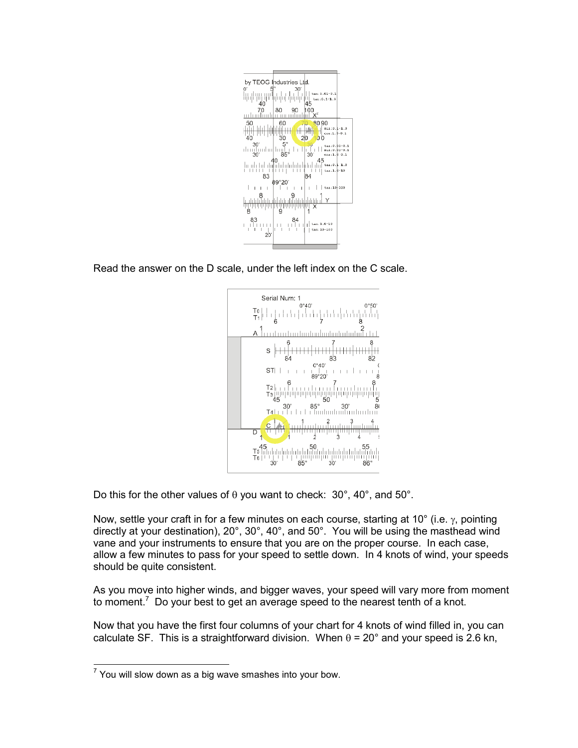

Read the answer on the D scale, under the left index on the C scale.



Do this for the other values of  $\theta$  you want to check: 30°, 40°, and 50°.

Now, settle your craft in for a few minutes on each course, starting at 10 $^{\circ}$  (i.e.  $\gamma$ , pointing directly at your destination), 20°, 30°, 40°, and 50°. You will be using the masthead wind vane and your instruments to ensure that you are on the proper course. In each case, allow a few minutes to pass for your speed to settle down. In 4 knots of wind, your speeds should be quite consistent.

As you move into higher winds, and bigger waves, your speed will vary more from moment to moment.<sup>7</sup> Do your best to get an average speed to the nearest tenth of a knot.

Now that you have the first four columns of your chart for 4 knots of wind filled in, you can calculate SF. This is a straightforward division. When  $\theta$  = 20° and your speed is 2.6 kn,

 $7$  You will slow down as a big wave smashes into your bow.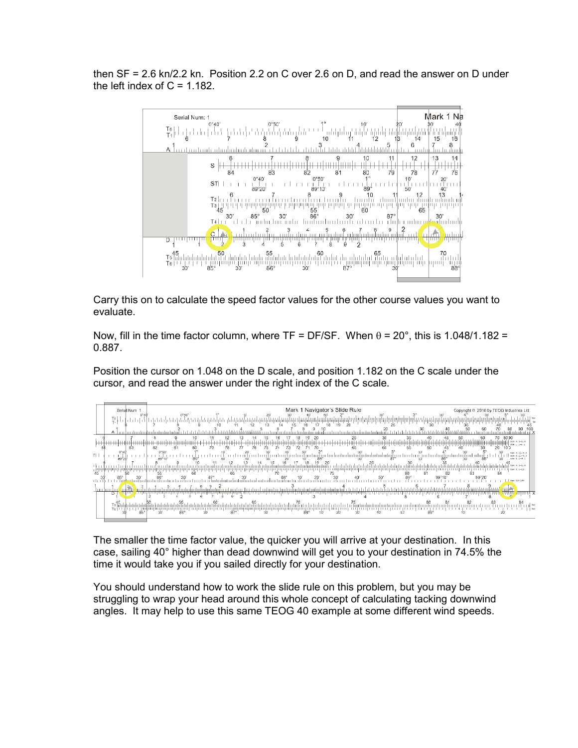then SF = 2.6 kn/2.2 kn. Position 2.2 on C over 2.6 on D, and read the answer on D under the left index of  $C = 1.182$ .



Carry this on to calculate the speed factor values for the other course values you want to evaluate.

Now, fill in the time factor column, where TF = DF/SF. When  $\theta$  = 20°, this is 1.048/1.182 = 0.887.

Position the cursor on 1.048 on the D scale, and position 1.182 on the C scale under the cursor, and read the answer under the right index of the C scale.

|     | Serial Num 1                                                                           | Mark 1 Navigator's Slide Rule                                                                                      | Copyright © 2016 by TEOG Industries Ltd.         |
|-----|----------------------------------------------------------------------------------------|--------------------------------------------------------------------------------------------------------------------|--------------------------------------------------|
|     | D°4<br>$\left  \begin{smallmatrix} \mathsf{T0} \ \mathsf{T} \end{smallmatrix} \right $ | $0^{\circ}50'$<br>19<br>12<br>$20 -$<br>16                                                                         |                                                  |
|     | A                                                                                      |                                                                                                                    |                                                  |
|     | 83                                                                                     | 35<br>'' 50<br>55<br>60<br>75<br>82<br>Tκ<br>73<br>76<br>78<br>65<br>80<br>81                                      | 8090<br>$936:0.1-3.0$<br>00111-1-012<br>45<br>40 |
| TI. | 89°20                                                                                  | 0°50<br>nghulmduuluuluuluulug ka u tu uu tu uu <sub>33</sub> 0 o tu u tu g ka duuduu guud uu turg.<br>So<br>89°10' | tan:0.21-0.1<br>81610.21-0.1<br>cop:1.1-0.1      |
|     |                                                                                        | 30<br>20<br>25<br>75<br>55<br>81<br>80                                                                             | $tan: 0.1 - 1.0$<br>tan:1.1-10<br>82<br>84       |
|     |                                                                                        | 30                                                                                                                 | 89°1<br>89°20'<br>tan:10-100                     |
|     | mm                                                                                     |                                                                                                                    |                                                  |
|     | D                                                                                      |                                                                                                                    |                                                  |
|     | Ts∏<br>T6   I                                                                          | 88°<br>86°                                                                                                         | tar                                              |

The smaller the time factor value, the quicker you will arrive at your destination. In this case, sailing 40° higher than dead downwind will get you to your destination in 74.5% the time it would take you if you sailed directly for your destination.

You should understand how to work the slide rule on this problem, but you may be struggling to wrap your head around this whole concept of calculating tacking downwind angles. It may help to use this same TEOG 40 example at some different wind speeds.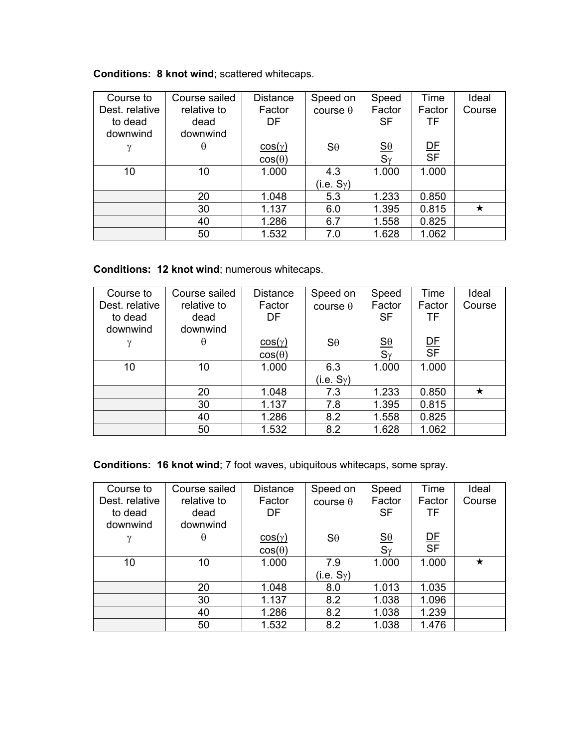## Conditions: 8 knot wind; scattered whitecaps.

| Course to      | Course sailed | <b>Distance</b> | Speed on             | Speed                                      | Time                        | Ideal   |
|----------------|---------------|-----------------|----------------------|--------------------------------------------|-----------------------------|---------|
| Dest. relative | relative to   | Factor          | course $\theta$      | Factor                                     | Factor                      | Course  |
| to dead        | dead          | DF              |                      | <b>SF</b>                                  | TF                          |         |
| downwind       | downwind      |                 |                      |                                            |                             |         |
| $\gamma$       | θ             | $cos(\gamma)$   | $S_{\theta}$         | $\underline{\mathsf{S}}\underline{\theta}$ | $rac{\text{DF}}{\text{SF}}$ |         |
|                |               | $cos(\theta)$   |                      | $S_{\gamma}$                               |                             |         |
| 10             | 10            | 1.000           | 4.3                  | 1.000                                      | 1.000                       |         |
|                |               |                 | (i.e. $S_{\gamma}$ ) |                                            |                             |         |
|                | 20            | 1.048           | 5.3                  | 1.233                                      | 0.850                       |         |
|                | 30            | 1.137           | 6.0                  | 1.395                                      | 0.815                       | $\star$ |
|                | 40            | 1.286           | 6.7                  | 1.558                                      | 0.825                       |         |
|                | 50            | 1.532           | 7.0                  | 1.628                                      | 1.062                       |         |

Conditions: 12 knot wind; numerous whitecaps.

| Course to      | Course sailed | <b>Distance</b> | Speed on               | Speed                                      | Time                        | Ideal  |
|----------------|---------------|-----------------|------------------------|--------------------------------------------|-----------------------------|--------|
| Dest. relative | relative to   | Factor          | course $\theta$        | Factor                                     | Factor                      | Course |
| to dead        | dead          | DF              |                        | <b>SF</b>                                  | TF                          |        |
| downwind       | downwind      |                 |                        |                                            |                             |        |
| γ              | θ             | cos(y)          | $S_{\theta}$           | $\underline{\mathsf{S}}\underline{\theta}$ | $rac{\text{DF}}{\text{SF}}$ |        |
|                |               | $cos(\theta)$   |                        | $S_{\gamma}$                               |                             |        |
| 10             | 10            | 1.000           | 6.3                    | 1.000                                      | 1.000                       |        |
|                |               |                 | (i.e. S <sub>Y</sub> ) |                                            |                             |        |
|                | 20            | 1.048           | 7.3                    | 1.233                                      | 0.850                       | ★      |
|                | 30            | 1.137           | 7.8                    | 1.395                                      | 0.815                       |        |
|                | 40            | 1.286           | 8.2                    | 1.558                                      | 0.825                       |        |
|                | 50            | 1.532           | 8.2                    | 1.628                                      | 1.062                       |        |

Conditions: 16 knot wind; 7 foot waves, ubiquitous whitecaps, some spray.

| Course to      | Course sailed | <b>Distance</b> | Speed on        | Speed                                               | Time                        | Ideal  |
|----------------|---------------|-----------------|-----------------|-----------------------------------------------------|-----------------------------|--------|
| Dest. relative | relative to   | Factor          | course $\theta$ | Factor                                              | Factor                      | Course |
| to dead        | dead          | DF              |                 | <b>SF</b>                                           | <b>TF</b>                   |        |
| downwind       | downwind      |                 |                 |                                                     |                             |        |
| $\gamma$       | θ             | cos(y)          | $S_{\theta}$    | $\underline{\mathbf{S}}\underline{\mathbf{\theta}}$ | $rac{\text{DF}}{\text{SF}}$ |        |
|                |               | $cos(\theta)$   |                 | $S_{\gamma}$                                        |                             |        |
| 10             | 10            | 1.000           | 7.9             | 1.000                                               | 1.000                       | ★      |
|                |               |                 | (i.e. $S_Y$ )   |                                                     |                             |        |
|                | 20            | 1.048           | 8.0             | 1.013                                               | 1.035                       |        |
|                | 30            | 1.137           | 8.2             | 1.038                                               | 1.096                       |        |
|                | 40            | 1.286           | 8.2             | 1.038                                               | 1.239                       |        |
|                | 50            | 1.532           | 8.2             | 1.038                                               | 1.476                       |        |